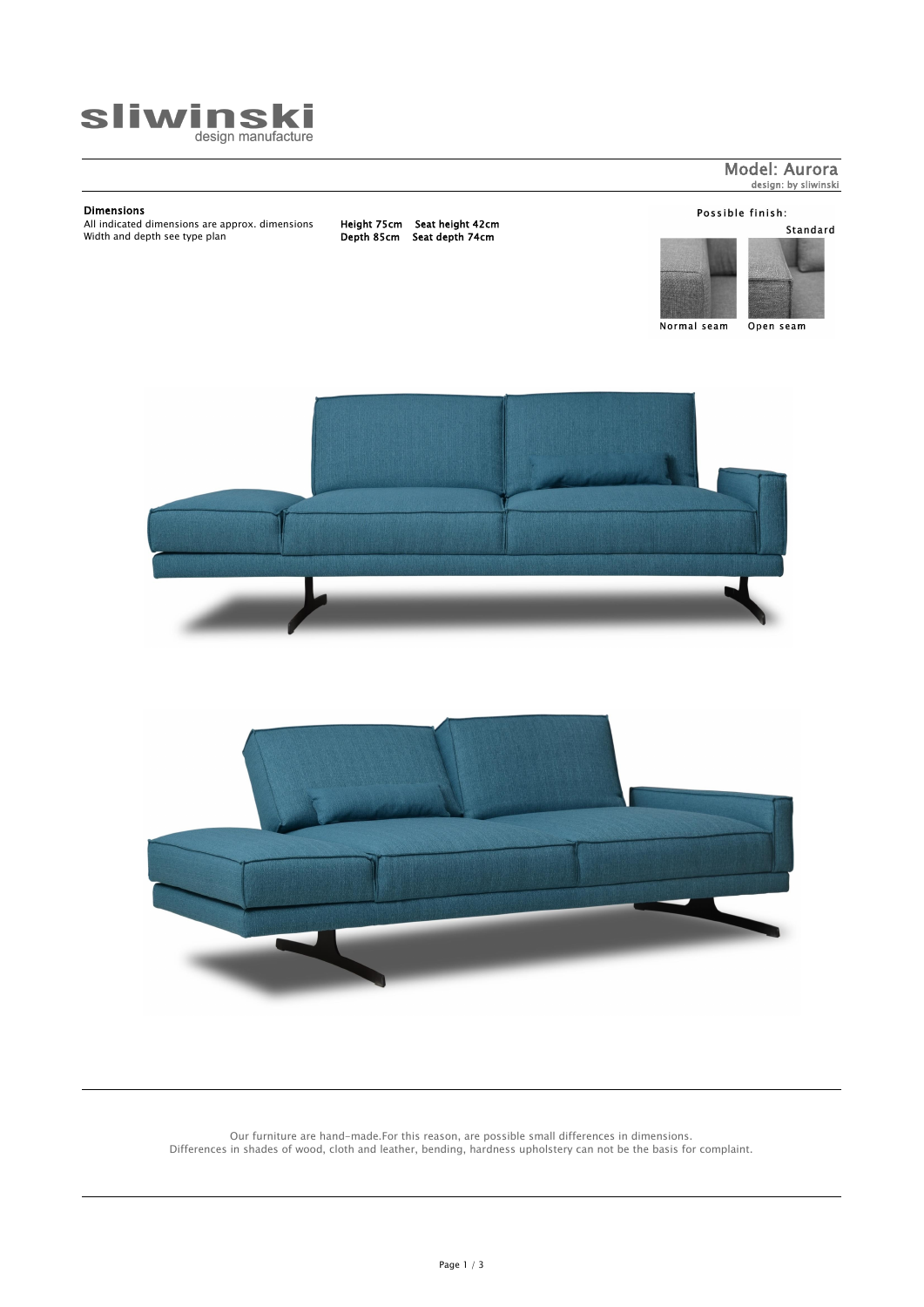## Dimensions

All indicated dimensions are approx. dimensions Height 75cm Seat height 42cm Width and depth see type plan Depth 85cm Seat depth 74cm

## Possible finish:

Standard



Normal seam

Open seam







Model: Aurora design: by sliwinski

Our furniture are hand-made.For this reason, are possible small differences in dimensions. Differences in shades of wood, cloth and leather, bending, hardness upholstery can not be the basis for complaint.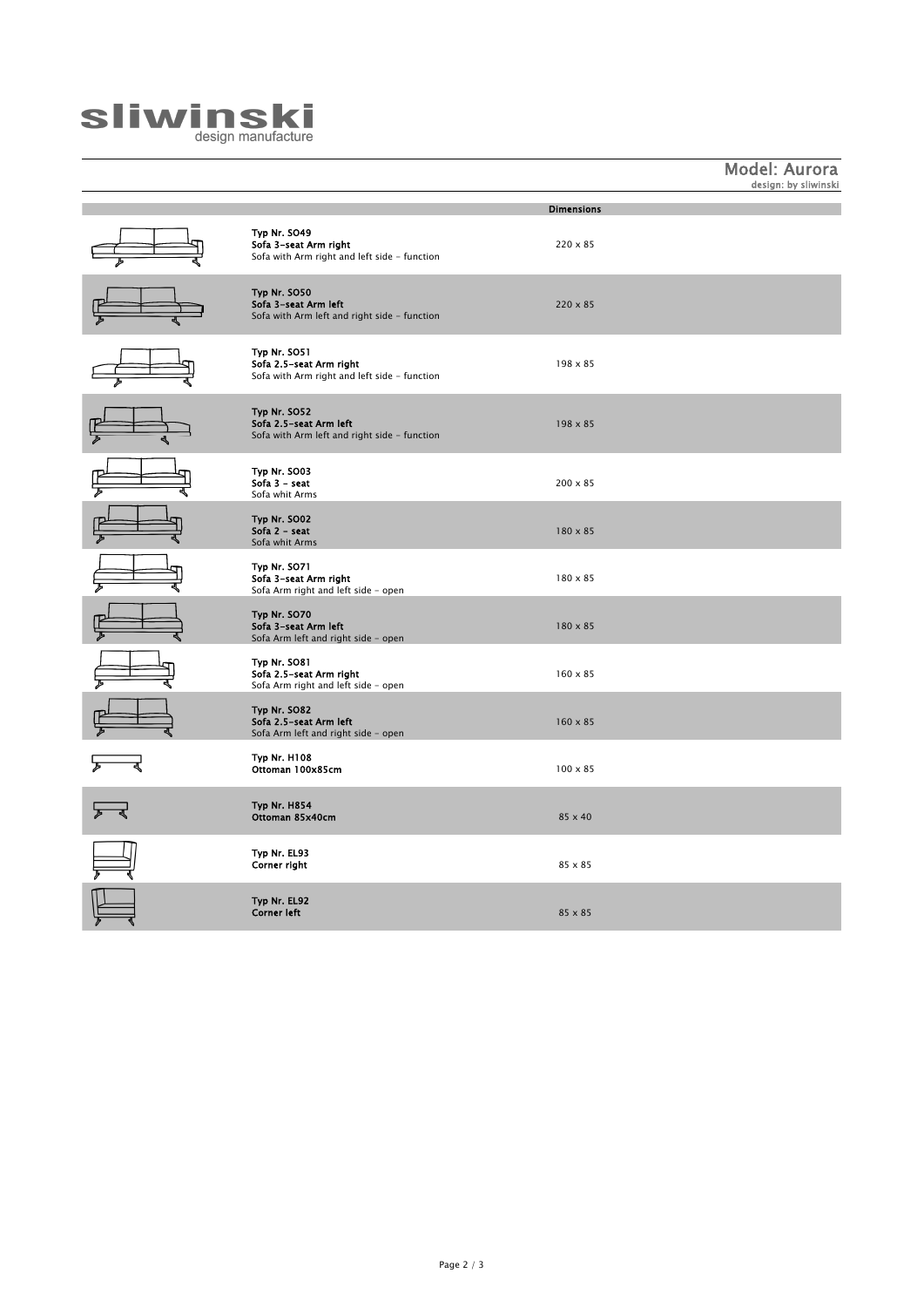

Model: Aurora design: by sliwinski

|                                                                                         | <b>Dimensions</b> |
|-----------------------------------------------------------------------------------------|-------------------|
| Typ Nr. SO49<br>Sofa 3-seat Arm right<br>Sofa with Arm right and left side - function   | $220 \times 85$   |
| Typ Nr. SO50<br>Sofa 3-seat Arm left<br>Sofa with Arm left and right side - function    | $220 \times 85$   |
| Typ Nr. SO51<br>Sofa 2.5-seat Arm right<br>Sofa with Arm right and left side - function | $198 \times 85$   |
| Typ Nr. SO52<br>Sofa 2.5-seat Arm left<br>Sofa with Arm left and right side - function  | $198 \times 85$   |
| Typ Nr. SO03<br>Sofa $3 -$ seat<br>Sofa whit Arms                                       | $200 \times 85$   |
| Typ Nr. SO02<br>Sofa $2 -$ seat<br>Sofa whit Arms                                       | $180 \times 85$   |
| Typ Nr. SO71<br>Sofa 3-seat Arm right<br>Sofa Arm right and left side - open            | $180 \times 85$   |
| Typ Nr. SO70<br>Sofa 3-seat Arm left<br>Sofa Arm left and right side - open             | 180 x 85          |
| Typ Nr. SO81<br>Sofa 2.5-seat Arm right<br>Sofa Arm right and left side - open          | $160 \times 85$   |
| Typ Nr. SO82<br>Sofa 2.5-seat Arm left<br>Sofa Arm left and right side - open           | $160 \times 85$   |
| <b>Typ Nr. H108</b><br>Ottoman 100x85cm                                                 | $100 \times 85$   |
| <b>Typ Nr. H854</b><br>Ottoman 85x40cm                                                  | 85 x 40           |
| Typ Nr. EL93<br>Corner right                                                            | $85 \times 85$    |
| Typ Nr. EL92<br><b>Corner left</b>                                                      | $85 \times 85$    |